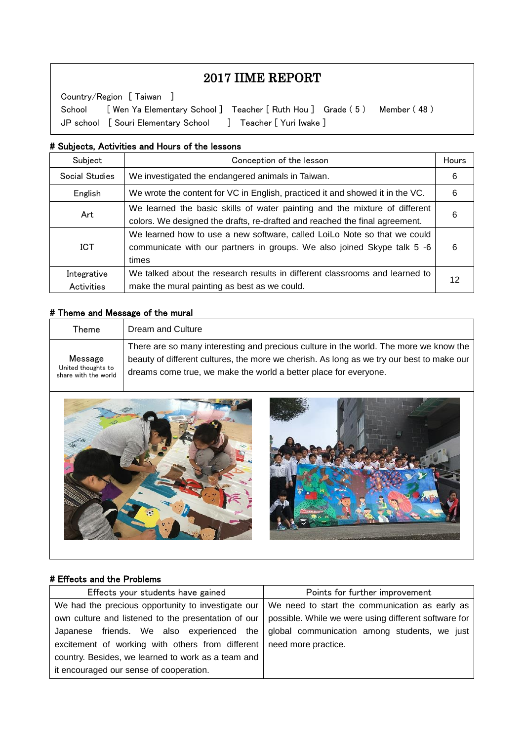# 2017 IIME REPORT

School [ Wen Ya Elementary School ] Teacher [ Ruth Hou ] Grade (5 ) Member (48 ) Country/Region [ Taiwan ] JP school [ Souri Elementary School ] Teacher [ Yuri Iwake ]

#### # Subjects, Activities and Hours of the lessons

 $\overline{\phantom{a}}$  $\overline{\phantom{a}}$  $\overline{\phantom{a}}$ 

 $\overline{\phantom{a}}$  $\overline{a}$ 

| Subject                   | Conception of the lesson                                                                                                                                     |    |
|---------------------------|--------------------------------------------------------------------------------------------------------------------------------------------------------------|----|
| Social Studies            | We investigated the endangered animals in Taiwan.                                                                                                            | 6  |
| English                   | We wrote the content for VC in English, practiced it and showed it in the VC.                                                                                | 6  |
| Art                       | We learned the basic skills of water painting and the mixture of different<br>colors. We designed the drafts, re-drafted and reached the final agreement.    | 6  |
| <b>ICT</b>                | We learned how to use a new software, called LoiLo Note so that we could<br>communicate with our partners in groups. We also joined Skype talk 5 -6<br>times | 6  |
| Integrative<br>Activities | We talked about the research results in different classrooms and learned to<br>make the mural painting as best as we could.                                  | 12 |

#### # Theme and Message of the mural

| Theme                                                 | Dream and Culture                                                                                                                                             |
|-------------------------------------------------------|---------------------------------------------------------------------------------------------------------------------------------------------------------------|
|                                                       | There are so many interesting and precious culture in the world. The more we know the                                                                         |
| Message<br>United thoughts to<br>share with the world | beauty of different cultures, the more we cherish. As long as we try our best to make our<br>dreams come true, we make the world a better place for everyone. |



#### # Effects and the Problems

| Effects your students have gained                                      | Points for further improvement                       |
|------------------------------------------------------------------------|------------------------------------------------------|
| We had the precious opportunity to investigate our                     | We need to start the communication as early as       |
| own culture and listened to the presentation of our                    | possible. While we were using different software for |
| Japanese friends. We also experienced the                              | global communication among students, we just         |
| excitement of working with others from different   need more practice. |                                                      |
| country. Besides, we learned to work as a team and                     |                                                      |
| it encouraged our sense of cooperation.                                |                                                      |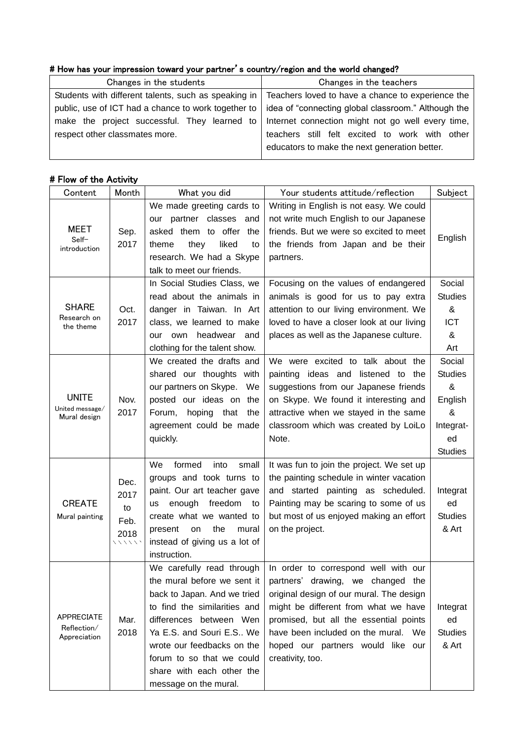## # How has your impression toward your partner's country/region and the world changed?

| Changes in the students                             | Changes in the teachers                                                                                  |
|-----------------------------------------------------|----------------------------------------------------------------------------------------------------------|
|                                                     | Students with different talents, such as speaking in   Teachers loved to have a chance to experience the |
| public, use of ICT had a chance to work together to | idea of "connecting global classroom." Although the                                                      |
|                                                     | make the project successful. They learned to   Internet connection might not go well every time,         |
| respect other classmates more.                      | teachers still felt excited to work with other                                                           |
|                                                     | educators to make the next generation better.                                                            |

## # Flow of the Activity

| Content                                          | Month                                        | What you did                                                                                                                                                                                                                                                     | Your students attitude/reflection                                                                                                                                                                                                                                                                                                     | Subject                                                                            |
|--------------------------------------------------|----------------------------------------------|------------------------------------------------------------------------------------------------------------------------------------------------------------------------------------------------------------------------------------------------------------------|---------------------------------------------------------------------------------------------------------------------------------------------------------------------------------------------------------------------------------------------------------------------------------------------------------------------------------------|------------------------------------------------------------------------------------|
| MEET<br>Self-<br>introduction                    | Sep.<br>2017                                 | We made greeting cards to<br>our partner classes<br>and<br>asked them to offer the<br>liked<br>theme<br>they<br>to<br>research. We had a Skype<br>talk to meet our friends.                                                                                      | Writing in English is not easy. We could<br>not write much English to our Japanese<br>friends. But we were so excited to meet<br>the friends from Japan and be their<br>partners.                                                                                                                                                     | English                                                                            |
| <b>SHARE</b><br>Research on<br>the theme         | Oct.<br>2017                                 | In Social Studies Class, we<br>read about the animals in<br>danger in Taiwan. In Art<br>class, we learned to make<br>headwear<br>our own<br>and<br>clothing for the talent show.                                                                                 | Focusing on the values of endangered<br>animals is good for us to pay extra<br>attention to our living environment. We<br>loved to have a closer look at our living<br>places as well as the Japanese culture.                                                                                                                        | Social<br><b>Studies</b><br>&<br><b>ICT</b><br>&<br>Art                            |
| <b>UNITE</b><br>United message/<br>Mural design  | Nov.<br>2017                                 | We created the drafts and<br>shared our thoughts with<br>our partners on Skype.<br>We<br>posted our ideas on the<br>Forum, hoping<br>that<br>the<br>agreement could be made<br>quickly.                                                                          | We were excited to talk about the<br>painting ideas and listened to the<br>suggestions from our Japanese friends<br>on Skype. We found it interesting and<br>attractive when we stayed in the same<br>classroom which was created by LoiLo<br>Note.                                                                                   | Social<br><b>Studies</b><br>&<br>English<br>&<br>Integrat-<br>ed<br><b>Studies</b> |
| <b>CREATE</b><br>Mural painting                  | Dec.<br>2017<br>to<br>Feb.<br>2018<br>マンマンマン | <b>We</b><br>formed<br>into<br>small<br>groups and took turns to<br>paint. Our art teacher gave<br>enough<br>freedom<br>us<br>to<br>create what we wanted to<br>the<br>present<br>mural<br>on<br>instead of giving us a lot of<br>instruction.                   | It was fun to join the project. We set up<br>the painting schedule in winter vacation<br>and started painting as scheduled.<br>Painting may be scaring to some of us<br>but most of us enjoyed making an effort<br>on the project.                                                                                                    | Integrat<br>ed<br><b>Studies</b><br>& Art                                          |
| <b>APPRECIATE</b><br>Reflection/<br>Appreciation | Mar.<br>2018                                 | We carefully read through<br>back to Japan. And we tried<br>to find the similarities and<br>differences between Wen<br>Ya E.S. and Souri E.S We<br>wrote our feedbacks on the<br>forum to so that we could<br>share with each other the<br>message on the mural. | In order to correspond well with our<br>the mural before we sent it   partners' drawing, we changed the<br>original design of our mural. The design<br>might be different from what we have<br>promised, but all the essential points<br>have been included on the mural. We<br>hoped our partners would like our<br>creativity, too. | Integrat<br>ed<br><b>Studies</b><br>& Art                                          |